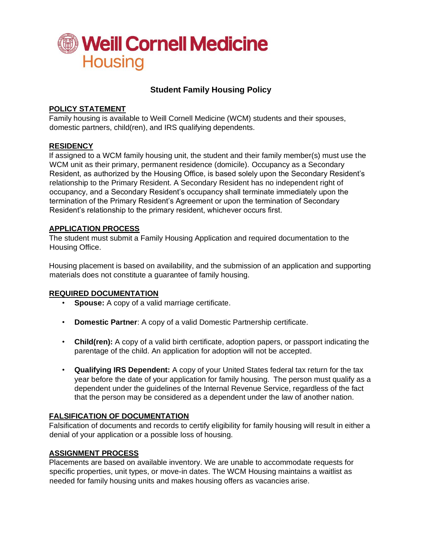

# **Student Family Housing Policy**

## **POLICY STATEMENT**

Family housing is available to Weill Cornell Medicine (WCM) students and their spouses, domestic partners, child(ren), and IRS qualifying dependents.

### **RESIDENCY**

If assigned to a WCM family housing unit, the student and their family member(s) must use the WCM unit as their primary, permanent residence (domicile). Occupancy as a Secondary Resident, as authorized by the Housing Office, is based solely upon the Secondary Resident's relationship to the Primary Resident. A Secondary Resident has no independent right of occupancy, and a Secondary Resident's occupancy shall terminate immediately upon the termination of the Primary Resident's Agreement or upon the termination of Secondary Resident's relationship to the primary resident, whichever occurs first.

### **APPLICATION PROCESS**

The student must submit a Family Housing Application and required documentation to the Housing Office.

Housing placement is based on availability, and the submission of an application and supporting materials does not constitute a guarantee of family housing.

### **REQUIRED DOCUMENTATION**

- **Spouse:** A copy of a valid marriage certificate.
- **Domestic Partner**: A copy of a valid Domestic Partnership certificate.
- **Child(ren):** A copy of a valid birth certificate, adoption papers, or passport indicating the parentage of the child. An application for adoption will not be accepted.
- **Qualifying IRS Dependent:** A copy of your United States federal tax return for the tax year before the date of your application for family housing. The person must qualify as a dependent under the guidelines of the Internal Revenue Service, regardless of the fact that the person may be considered as a dependent under the law of another nation.

### **FALSIFICATION OF DOCUMENTATION**

Falsification of documents and records to certify eligibility for family housing will result in either a denial of your application or a possible loss of housing.

#### **ASSIGNMENT PROCESS**

Placements are based on available inventory. We are unable to accommodate requests for specific properties, unit types, or move-in dates. The WCM Housing maintains a waitlist as needed for family housing units and makes housing offers as vacancies arise.